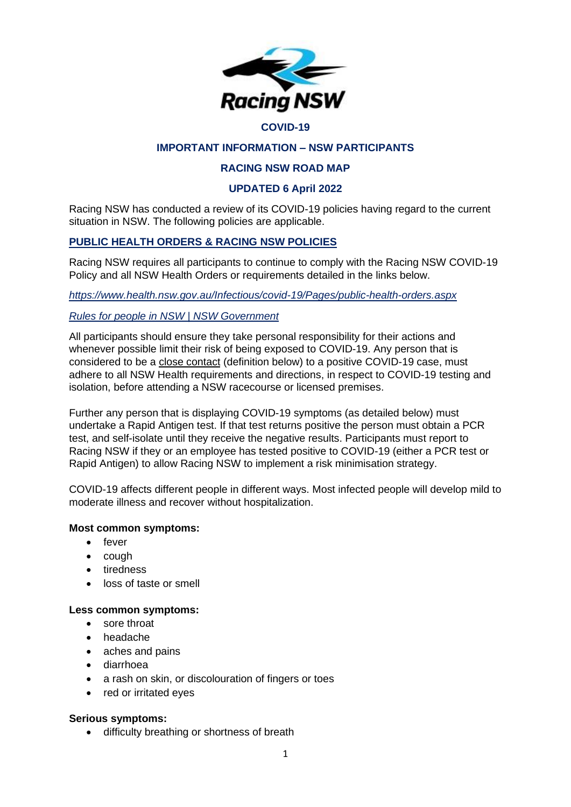

#### **COVID-19**

## **IMPORTANT INFORMATION – NSW PARTICIPANTS**

### **RACING NSW ROAD MAP**

### **UPDATED 6 April 2022**

Racing NSW has conducted a review of its COVID-19 policies having regard to the current situation in NSW. The following policies are applicable.

## **PUBLIC HEALTH ORDERS & RACING NSW POLICIES**

Racing NSW requires all participants to continue to comply with the Racing NSW COVID-19 Policy and all NSW Health Orders or requirements detailed in the links below.

*<https://www.health.nsw.gov.au/Infectious/covid-19/Pages/public-health-orders.aspx>*

### *[Rules for people in NSW | NSW Government](https://www.nsw.gov.au/covid-19/stay-safe/rules/people-in-nsw)*

All participants should ensure they take personal responsibility for their actions and whenever possible limit their risk of being exposed to COVID-19. Any person that is considered to be a close contact (definition below) to a positive COVID-19 case, must adhere to all NSW Health requirements and directions, in respect to COVID-19 testing and isolation, before attending a NSW racecourse or licensed premises.

Further any person that is displaying COVID-19 symptoms (as detailed below) must undertake a Rapid Antigen test. If that test returns positive the person must obtain a PCR test, and self-isolate until they receive the negative results. Participants must report to Racing NSW if they or an employee has tested positive to COVID-19 (either a PCR test or Rapid Antigen) to allow Racing NSW to implement a risk minimisation strategy.

COVID-19 affects different people in different ways. Most infected people will develop mild to moderate illness and recover without hospitalization.

#### **Most common symptoms:**

- fever
- cough
- tiredness
- loss of taste or smell

#### **Less common symptoms:**

- sore throat
- headache
- aches and pains
- diarrhoea
- a rash on skin, or discolouration of fingers or toes
- red or irritated eyes

#### **Serious symptoms:**

• difficulty breathing or shortness of breath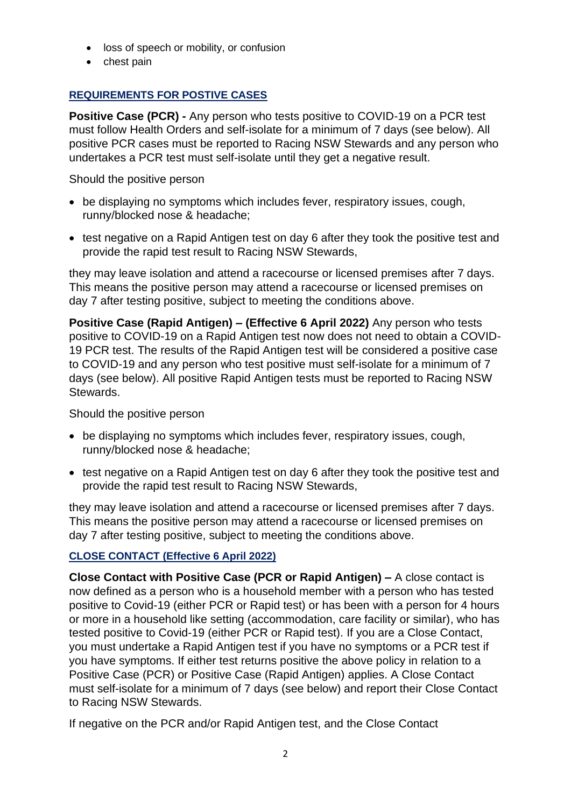- loss of speech or mobility, or confusion
- chest pain

# **REQUIREMENTS FOR POSTIVE CASES**

**Positive Case (PCR) -** Any person who tests positive to COVID-19 on a PCR test must follow Health Orders and self-isolate for a minimum of 7 days (see below). All positive PCR cases must be reported to Racing NSW Stewards and any person who undertakes a PCR test must self-isolate until they get a negative result.

Should the positive person

- be displaying no symptoms which includes fever, respiratory issues, cough, runny/blocked nose & headache;
- test negative on a Rapid Antigen test on day 6 after they took the positive test and provide the rapid test result to Racing NSW Stewards,

they may leave isolation and attend a racecourse or licensed premises after 7 days. This means the positive person may attend a racecourse or licensed premises on day 7 after testing positive, subject to meeting the conditions above.

**Positive Case (Rapid Antigen) – (Effective 6 April 2022)** Any person who tests positive to COVID-19 on a Rapid Antigen test now does not need to obtain a COVID-19 PCR test. The results of the Rapid Antigen test will be considered a positive case to COVID-19 and any person who test positive must self-isolate for a minimum of 7 days (see below). All positive Rapid Antigen tests must be reported to Racing NSW Stewards.

Should the positive person

- be displaying no symptoms which includes fever, respiratory issues, cough, runny/blocked nose & headache;
- test negative on a Rapid Antigen test on day 6 after they took the positive test and provide the rapid test result to Racing NSW Stewards,

they may leave isolation and attend a racecourse or licensed premises after 7 days. This means the positive person may attend a racecourse or licensed premises on day 7 after testing positive, subject to meeting the conditions above.

# **CLOSE CONTACT (Effective 6 April 2022)**

**Close Contact with Positive Case (PCR or Rapid Antigen) –** A close contact is now defined as a person who is a household member with a person who has tested positive to Covid-19 (either PCR or Rapid test) or has been with a person for 4 hours or more in a household like setting (accommodation, care facility or similar), who has tested positive to Covid-19 (either PCR or Rapid test). If you are a Close Contact, you must undertake a Rapid Antigen test if you have no symptoms or a PCR test if you have symptoms. If either test returns positive the above policy in relation to a Positive Case (PCR) or Positive Case (Rapid Antigen) applies. A Close Contact must self-isolate for a minimum of 7 days (see below) and report their Close Contact to Racing NSW Stewards.

If negative on the PCR and/or Rapid Antigen test, and the Close Contact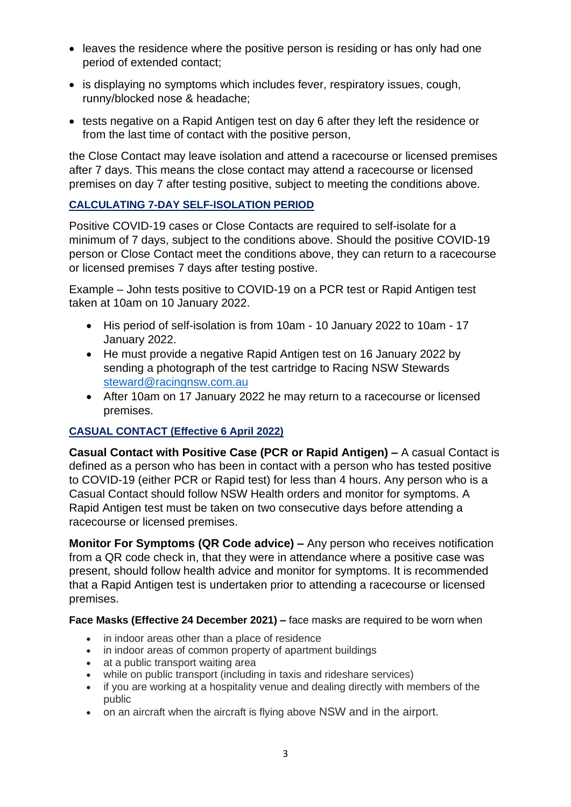- leaves the residence where the positive person is residing or has only had one period of extended contact;
- is displaying no symptoms which includes fever, respiratory issues, cough, runny/blocked nose & headache;
- tests negative on a Rapid Antigen test on day 6 after they left the residence or from the last time of contact with the positive person,

the Close Contact may leave isolation and attend a racecourse or licensed premises after 7 days. This means the close contact may attend a racecourse or licensed premises on day 7 after testing positive, subject to meeting the conditions above.

# **CALCULATING 7-DAY SELF-ISOLATION PERIOD**

Positive COVID-19 cases or Close Contacts are required to self-isolate for a minimum of 7 days, subject to the conditions above. Should the positive COVID-19 person or Close Contact meet the conditions above, they can return to a racecourse or licensed premises 7 days after testing postive.

Example – John tests positive to COVID-19 on a PCR test or Rapid Antigen test taken at 10am on 10 January 2022.

- His period of self-isolation is from 10am 10 January 2022 to 10am 17 January 2022.
- He must provide a negative Rapid Antigen test on 16 January 2022 by sending a photograph of the test cartridge to Racing NSW Stewards [steward@racingnsw.com.au](mailto:steward@racingnsw.com.au)
- After 10am on 17 January 2022 he may return to a racecourse or licensed premises.

# **CASUAL CONTACT (Effective 6 April 2022)**

**Casual Contact with Positive Case (PCR or Rapid Antigen) –** A casual Contact is defined as a person who has been in contact with a person who has tested positive to COVID-19 (either PCR or Rapid test) for less than 4 hours. Any person who is a Casual Contact should follow NSW Health orders and monitor for symptoms. A Rapid Antigen test must be taken on two consecutive days before attending a racecourse or licensed premises.

**Monitor For Symptoms (QR Code advice) –** Any person who receives notification from a QR code check in, that they were in attendance where a positive case was present, should follow health advice and monitor for symptoms. It is recommended that a Rapid Antigen test is undertaken prior to attending a racecourse or licensed premises.

**Face Masks (Effective 24 December 2021) –** face masks are required to be worn when

- in indoor areas other than a place of residence
- in indoor areas of common property of apartment buildings
- at a public transport waiting area
- while on public transport (including in taxis and rideshare services)
- if you are working at a hospitality venue and dealing directly with members of the public
- on an aircraft when the aircraft is flying above NSW and in the airport.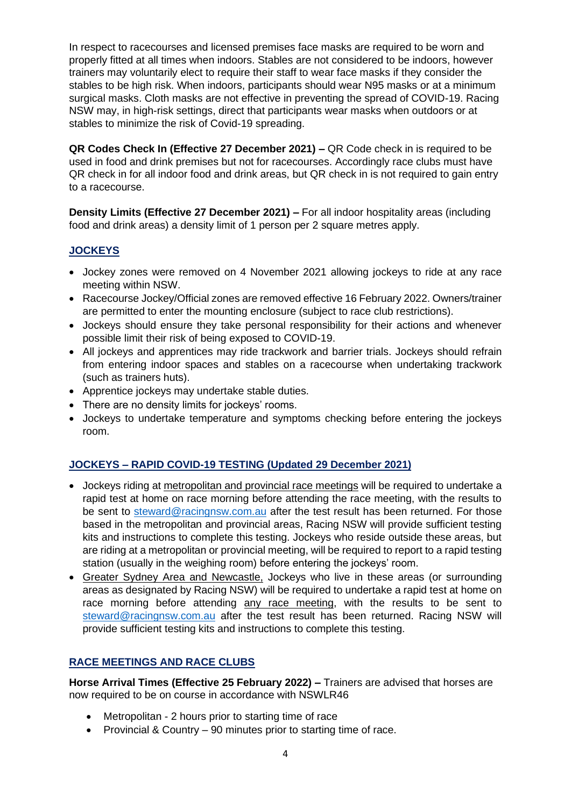In respect to racecourses and licensed premises face masks are required to be worn and properly fitted at all times when indoors. Stables are not considered to be indoors, however trainers may voluntarily elect to require their staff to wear face masks if they consider the stables to be high risk. When indoors, participants should wear N95 masks or at a minimum surgical masks. Cloth masks are not effective in preventing the spread of COVID-19. Racing NSW may, in high-risk settings, direct that participants wear masks when outdoors or at stables to minimize the risk of Covid-19 spreading.

**QR Codes Check In (Effective 27 December 2021) –** QR Code check in is required to be used in food and drink premises but not for racecourses. Accordingly race clubs must have QR check in for all indoor food and drink areas, but QR check in is not required to gain entry to a racecourse.

**Density Limits (Effective 27 December 2021) –** For all indoor hospitality areas (including food and drink areas) a density limit of 1 person per 2 square metres apply.

## **JOCKEYS**

- Jockey zones were removed on 4 November 2021 allowing jockeys to ride at any race meeting within NSW.
- Racecourse Jockey/Official zones are removed effective 16 February 2022. Owners/trainer are permitted to enter the mounting enclosure (subject to race club restrictions).
- Jockeys should ensure they take personal responsibility for their actions and whenever possible limit their risk of being exposed to COVID-19.
- All jockeys and apprentices may ride trackwork and barrier trials. Jockeys should refrain from entering indoor spaces and stables on a racecourse when undertaking trackwork (such as trainers huts).
- Apprentice jockeys may undertake stable duties.
- There are no density limits for jockeys' rooms.
- Jockeys to undertake temperature and symptoms checking before entering the jockeys room.

## **JOCKEYS – RAPID COVID-19 TESTING (Updated 29 December 2021)**

- Jockeys riding at metropolitan and provincial race meetings will be required to undertake a rapid test at home on race morning before attending the race meeting, with the results to be sent to [steward@racingnsw.com.au](mailto:steward@racingnsw.com.au) after the test result has been returned. For those based in the metropolitan and provincial areas, Racing NSW will provide sufficient testing kits and instructions to complete this testing. Jockeys who reside outside these areas, but are riding at a metropolitan or provincial meeting, will be required to report to a rapid testing station (usually in the weighing room) before entering the jockeys' room.
- Greater Sydney Area and Newcastle, Jockeys who live in these areas (or surrounding areas as designated by Racing NSW) will be required to undertake a rapid test at home on race morning before attending any race meeting, with the results to be sent to [steward@racingnsw.com.au](mailto:steward@racingnsw.com.au) after the test result has been returned. Racing NSW will provide sufficient testing kits and instructions to complete this testing.

## **RACE MEETINGS AND RACE CLUBS**

**Horse Arrival Times (Effective 25 February 2022) –** Trainers are advised that horses are now required to be on course in accordance with NSWLR46

- Metropolitan 2 hours prior to starting time of race
- Provincial & Country 90 minutes prior to starting time of race.